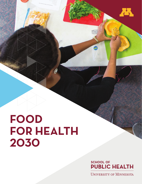# **FOOD FOR HEALTH 2030**

**SCHOOL OF PUBLIC HEALTH** 

Æ.

**UNIVERSITY OF MINNESOTA**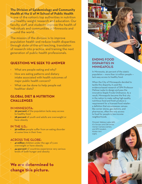**The Division of Epidemiology and Community Health at the U of M School of Public Health**

is one of the nation's top authorities in nutrition and healthy weight research and education. Our faculty, staff, and students improve the health of individuals and communities in Minnesota and around the world.

The mission of the division is to improve population health and reduce health disparities through state-of-the-art teaching, translation of research into practice, and training the next generation of public health professionals.

# **QUESTIONS WE SEEK TO ANSWER**

- What are people eating and why?
- How are eating patterns and dietary intake associated with health outcomes of major public health concern?
- What can be done to help people eat healthier diets?

# **GLOBAL DIET & NUTRITION CHALLENGES**

#### IN MINNESOTA:

- **30 percent** of the population lacks easy access to healthy food
- **28 percent** of youth and adults are overweight or have obesity

#### IN THE U.S.:

**30 million** people suffer from an eating disorder at some time in their lives

#### ACROSS THE GLOBE:

- **41 million** children under the age of 5 are overweight or have obesity
- **44 percent** of countries experience very serious levels of both hunger and obesity

# **We are determined to change this picture.**

# ENDING FOOD DISPARITIES IN **MINNEAPOLIS**

In Minnesota, 30 percent of the state's population — more than 1.6 million people lack easy access to healthy food.

When the City of Minneapolis decided to tackle this disparity, it used the evidence-based research of SPH Professor Melissa Laska to design and pass the innovative Staple Foods Ordinance. As a result, Minneapolis became the first city in the nation to make selling high-quality, nutritious food and fresh produce a requirement for a licensed food retailer: a defintion that encompasses venues like corner stores, gas stations, and pharmacies, often the only access to food for people in low-income neighborhoods.

Pictured: Melissa Laska (left), K's Grocery and Deli owner, Osman Camara (center), and SPH student, Kirsten Arm (right).

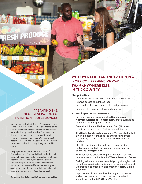#### PREPARING THE NEXT GENERATION OF NUTRITION PROFESSIONALS

**ESH PRO** 

Our Public Health Nutrition MPH program — one of the top in the nation — is designed for students who are committed to health promotion and disease prevention through healthy eating. The curriculum strongly emphasizes food access, nutrition policy, community nutrition interventions/programs, health disparities research and evaluation methods, nutrition assessment, and healthy eating throughout the life course.

The program is located in the SPH Division of Epidemiology and Community Health, a division that uniquely houses epidemiology, public health nutrition, maternal and child health, and community health. This interdisciplinary structure provides students with access to courses and faculty across disciplines. Students also have the opportunity to specialize their training to individual interests and career goals.

**Better nutrition. Better health. Stronger communities.**

# **WE COVER FOOD AND NUTRITION IN A MORE COMPREHENSIVE WAY THAN ANYWHERE ELSE IN THE COUNTRY**

#### **Our priorities**

- Understand the connection between diet and health
- Improve access to nutritious food
- Increase healthy food consumption and behaviors
- **Educate future leaders in food and nutrition**

#### **Proven impact of our research**

- **Provided evidence to reshape the Supplemental Nutrition Assistance Program (SNAP**) food purchasing to address overweight and obesity
- **•**  Determined that the **Mediterranean Diet** (#1 ranked nutritional regime in the U.S.) lowers heart disease
- **•**  The **Staple Foods Ordinance** made Minneapolis the first city in the nation to make selling and displaying fresh, high-quality produce a requirement for licensed food retailers
- **Identified key factors that influence weight-related** problems during the transition from adolescence to adulthood in **Project EAT**
- The importance of addressing nutrition from multi-level perspectives within the **Healthy Weight Research Center**
- Building evidence on environmental policy strategies that have the greatest potential to improve healthy eating and weight patterns among children through **Healthy Eating Research**
- Improvements in workers' health using administrative and environmental tactics such as use of sit-stand workstations in the **STAND&MOVE** study